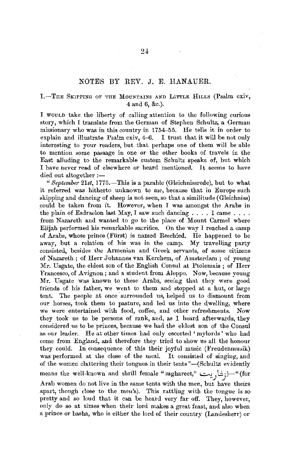## NOTES BY REV. J. E. HANAUER.

## I.-THE SKIPPING OF THE MOUNTAINS AND LITTLE HILLS (Psalm cxiv, 4 and 6, &c.).

I WOULD take the liberty of calling attention to the following curious story, which I translate from the German of Stephen Schultz, a German missionary who was in this country in 1754-55. He tells it in order to explain and illustrate Psalm cxiv, 4-6. I trust that it will be not only interesting to your readers, but that perhaps one of them will be able to mention some passage in one or the other books of travels in the East alluding to the remarkable custom Schultz speaks of, but which I have never read of elsewhere or heard mentioned. It seems to have died out altogether :-

" *Beptember 21st,* 1775.-This is a parable (Gleichnissrede), but to what it referred was hitherto unknown to me, because that in Europe such skipping and dancing of sheep is not seen, so that a similitude (Gleichniss) could be taken from it. However, when I was amongst the Arabs in the plain of Esdraelon last May, I saw such dancing  $\dots$ . I came  $\dots$ . from Nazareth and wanted to go to the place of Mount Carmel where Elijah performed his remarkable sacrifice. On the way I reached a camp of Arabs, whose prince (Fiirst) is named Reschied. *He* happened to be away, but a relation of his was in the camp. My travelling party consisted, besides the Armenian and Greek servants, of some citizens of Nazareth; of Herr Johannes van Kerchem, of Amsterdam; of young Mr. Usgate, the eldest son of the English Consul at Ptolemais; of Herr Francesco, of Avignon ; and a student from Aleppo. Now, because young Mr. Usgate was known to these Arabs, seeing that they were good friends of his father, we went to them and stopped at a hut, or large tent. The people at once surrounded us, helped us to dismount from our horses, took them to pasture, and led us into the dwelling, where we were entertained with food, coffee, and other refreshments. Now they took us to be persons of rank, and, as I heard afterwards, they considered us to be princes, because we had the eldest son of the Consul as our leader. He at other times had only escorted 'mylords' who had come from England, and therefore they tried to show us all the honour they could. In consequence of this their joyful music (Freudenmusik) was performed at the close of the meal. It consisted of singing, and of the women clattering their tongues in their tents "-(Schultz evidently means the well-known and shrill female "zaghareet," ...::.-:.).i.j)-"(for

Arab women do not live in the same tents with the men, but have theirs apart, though close to the men's). This rattling with the tongue is so pretty and so loud that it can be heard very far off. They, however, only do so at times when their lord makes a great feast, and also when a prince or basha, who is either the lord of their country (Landesherr) or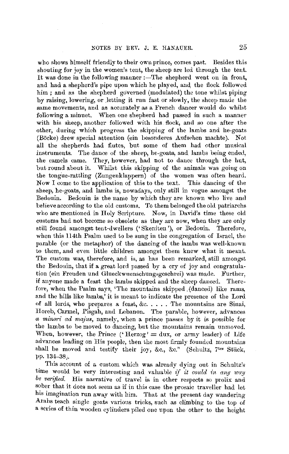who shows himself friendly to their own prince, comes past. Besides this shouting for joy in the women's tent, the sheep are led through the tent. It was done in the following manner :-The shepherd went on in front, and had a shepherd's pipe upon which he played, and, the flock followed him ; and as the shepherd governed (modulated) the tone whilst piping by raising, lowering, or Jetting it run fast or slowly, the sheep made the same movements, and as accurately as a French dancer would do whilst following a minuet. When one shepherd had passed **in** such a manner with his sheep, another followed with his flock, and so one after the other, during which progress the skipping of the lambs and he-goats (Boeke) drew special attention (ein hesonderes Aufsehen machte). Not all the shepherds had flutes, but some of them had other musical instruments. The dance of the sheep, he-goats, and lambs being ended, the camels came. They, however, had not to dance through the hut, but round about it. Whilst this skipping of the animals was going on the tongue-rattling (Zungenklappern) of the women was often heard. Now I come to the application of this to the text. This dancing of the sheep, he-goats, and lambs is, nowadays, only still in vogue amongst the Bedouin. Bedouin is the name by which they are known who live and believe according to the old customs. To them belonged the old patriarchs who are mentioned in Holy Scripture. Now, in David's time these old customs had not become so obsolete as they are now, when they are only still found amongst tent-dwellers (' Skeniten '), or Bedouin. Therefore, when this 114th Psalm used to he sung in the congregation of farael, the parable (or the metaphor) of the dancing of the lambs was well-known to them, and even little children amongst them knew what it meant. The custom was, therefore, and is, as has been remarked, still amongst the Bedouin, that if a great lord passed by a cry of joy and congratulation (ein Freuden und Glueckwuenschungsgeschrei) was made. Further, if anyone made a feast the lambs skipped and the sheep danced. Therefore, when the Psalm says, 'The mountains skipped. (danced) like rams, and the hills like lambs,' it is meant to indicate the presence of the Lord of all lords, who prepares a feast,  $&c.$ .... The mountains are Sinai, Horeb, Carmel, Pisgah, and Lebanon. The parable, however, advances *a minori ad majus,* namely, when a priuce passes by it is possible for the lambs to be moved to dancing, but the mountains remain unmoved. When, however, the Prince ('Herzog' = dux, or army leader) of Life advances leadiug on His people, then the most firmly founded mountains shall be moved and testify their joy, &c., &c." (Schultz, 7<sup>tes</sup> Stück, pp. 134-38;

This account of a custom which was already dying out in Schultz's time would be very interesting and valuable *if it could in anp way be verified.* His narrative of travel is in other respects so prolix and sober that it does not seem as if in this case the prosaic traveller had let his imagination run away with him. That at the present day wandering Arahs teach single goats various tricks, such as climbing to the top of a series of thin wooden cylinders piled one upon the other to the height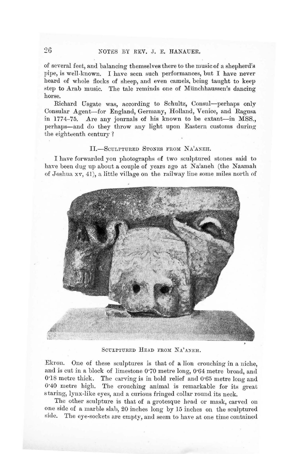of several feet, and balancing tbemsel ves there to the music of a shepherd's pipe, is well-known. I have seen such performances, but I have never heard of whole flocks of sheep, and even camels, being taught to keep step to Arab music. The tale reminds one of Münchhaussen's dancing horse.

Richard Usgate was, according to Schultz, Consul-perhaps only Consular Agent-for England, Germany, Holland, Venice, and Ragusa in 1774-75. Are any journals of his known to be extant-in MSS., perhaps-and do they throw any light upon Eastern customs during the eighteenth century ?

#### IL-SCHLPTURED STONES FROM NA'ANEH.

I have forwarded you photographs of two sculptured stones said to have been dug up about a couple of years ago at Na'aneh (the Naamah of Joshua xv, 41 ), a little village on the railway line some miles north of



SCULPTURED HEAD FROM NA'ANEH.

Ekron. One of these sculptures is that of a lion crouching in a niche, and is cut in a block of limestone 0·70 metre long, 0·64 metre broad, and 0.18 metre thick. The carving is in bold relief and 0.65 metre long and 0·40 metre high. The crouching animal is remarkable for its great staring, lynx-like eyes, and a curious fringed collar round its neck.

The other sculpture is that of a grotesque head or mask, carved on one side of a marble slab, 20 inches long by 15 inches on the sculptured side. The eye-sockets are empty, and seem to have at one time contained

 $26$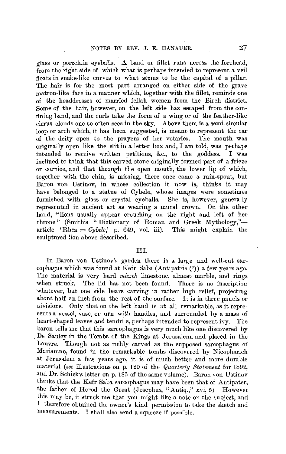glass or porcelain eyeballs. **.A** band or :fillet runs across the forehead, from the right side of which what is perhaps intended to represent a veil floats in snake-like curves to what seems to be the capital of a pillar. The hair is for the most part arranged on either side of the grave matron-like face in a manner **which,** together with the fiilet, reminds one of the headdresses of married fellah women from the Bireh district. Some of the hair, however, on the left side has escaped from the confining band, and the curls take the form of a wing or of the feather-like cirrus clouds one so often sees in the sky. Above them is a semi-circular loop or arch which, it has been suggested, is meant to represent the ear of the deity open to the prayers of her votaries. The mouth was of the deity open to the prayers of her votaries. originally open like the slit in a letter box and, I am told, was perhaps intended to receive written petitions, &c., to the goddess. I was inclined to think that this carved stone originally formed part of a frieze or cornice, and that through the open mouth, the lower lip of which, together with the chin, is missing, there once came a rain-spout, but Baron von Ustinov, in whose collection it now is, thinks it may have belonged to a statue of Cybele, whose images were sometimes furnished with glass or crystal eyeballs. She is, however, generally represented in ancient art as wearing a mural crown. On the other hand, "lions usually appear crouching on the right and left of her throne" (Smith's "Dictionary of Roman and Greek Mythology,"article 'Rhea =  $Cybele$ , p. 649, vol. iii). This might explain the sculptured lion above described.

#### III.

In Baron von Ustinov's garden there is a large and well-cut sarcophagus which was found at Kefr Saba (Antipatris (?)) a few years ago. The material is very hard *mizzeh* limestone, almost marble, and rings when struck. The lid has not been found. There is no inscription whatever, but one side bears carving in rather high relief, projecting about half an inch from the rest of the surface. It is in three panels or divisions. Only that on the left hand is at all remarkable, as it represents a vessel, vase, or urn with handles, and surrounded by a mass of heart-shaped leaves and tendrils, perhaps intended to represent ivy. The baron tells me that this sarcophagus is very much like one discovered by De Saulcy in the Tombs of the Kings at Jerusalem, and placed in the Louvre. Though not as richly carved as the supposed sarcophagus of Mariamne, found in the remarkable tombs discovered by Nicopharieh at Jerusalem a few years ago, it is of much better and more durable ncaterial *(see* illustrations on p. 120 of the *Quarterly Statement* for 1892, and Dr. Schick's letter on p. 185 of the same volume). Baron von Ustinov thinks that the Kefr Saba sarcophagus may have been that of Antipater, the father of Herod the Great (Josephus, "Antiq.," xvi, 5). However this may be, it struck me that you might like a note on the subject, and I therefore obtained the owner's kind permission to take the sketch and measurements. I shall also send a squeeze if possible.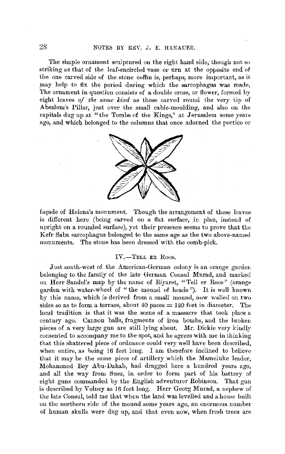The simple ornament sculptured on the right hand side, though not so. striking as that of the leaf-encircled vase or tirn at the opposite end of the one carved side of the stone coffin is, perhaps, more important, as it may help to fix the period during which the sarcophagus was made, The ornament in question consists of a double cross, or flower, formed by eight leaves of the same kind as those carved round the very tip of Absalom's Pillar, just over the small cable-moulding, and also on the capitals dug up at "the Tombs of the Kings," at Jerusalem some years ago, and which belonged to the columns that once adorned the portico or



façade of Helena's monument. Though the arrangement of these leaves is different here (being carved on a flat surface, in plan, instead of upright on a rounded surface), yet their presence seems to prove that the Kefr Saba sarcophagus belonged to the same age as the two above-named monuments. The stone has been dressed with the comb-pick.

#### IV.-TELL ER Roos.

Just south-west of the American-German colony is an orange garden belonging to the family of the late German Consul Murad, and marked on Herr Sandel's map by the name of Biyaret, " Tell er Roos" ( orange garden with water-wheel of "the mound of heads"). It is well known by this name, which is derived from a small mound, now walled on two sides so as to form a terrace, about 40 paces  $= 120$  feet in diameter. The local tradition is that it was the scene of a massacre that took place a century ago. Cannon balls, fragments of iron bombs, and the broken pieces of a very large gun are still lying about. Mr. Dickie very kindly consented to accompany me to the spot, and he agrees with me in thinking that this shattered piece of ordnance could very well have been described, when entire, as being 16 feet long. I am therefore inclined to believe that it may be the same piece of artillery which the Mameluke leader, Mohammed Bey Abu-Dahab, had dragged here a hundred years ago, and all the way from Suez, in order to -form part of his battery of eight guns commanded by the English adventurer Robinson. That gun is described by Volney as 16 feet long. Herr Georg Murad, a nephew of the late Consul, told me that when the land was levelled and a house built on the northern side of the mound some years ago, an enormous number of human skulls were dug up, and that even now, when fresh trees are